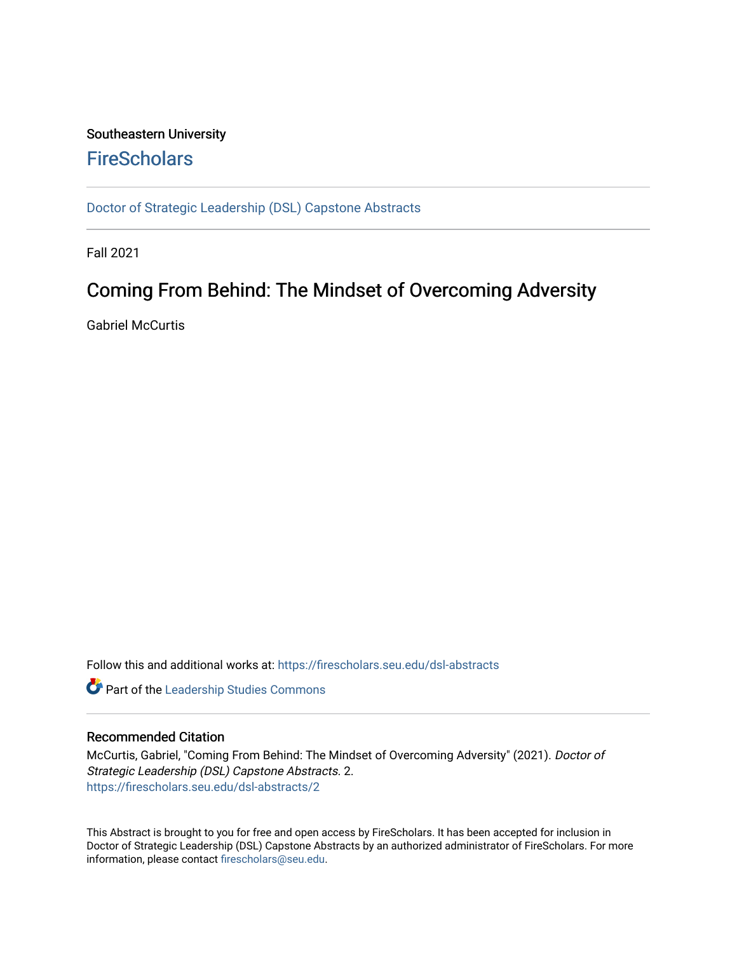## Southeastern University **FireScholars**

[Doctor of Strategic Leadership \(DSL\) Capstone Abstracts](https://firescholars.seu.edu/dsl-abstracts) 

Fall 2021

## Coming From Behind: The Mindset of Overcoming Adversity

Gabriel McCurtis

Follow this and additional works at: [https://firescholars.seu.edu/dsl-abstracts](https://firescholars.seu.edu/dsl-abstracts?utm_source=firescholars.seu.edu%2Fdsl-abstracts%2F2&utm_medium=PDF&utm_campaign=PDFCoverPages) 

Part of the [Leadership Studies Commons](http://network.bepress.com/hgg/discipline/1250?utm_source=firescholars.seu.edu%2Fdsl-abstracts%2F2&utm_medium=PDF&utm_campaign=PDFCoverPages) 

## Recommended Citation

McCurtis, Gabriel, "Coming From Behind: The Mindset of Overcoming Adversity" (2021). Doctor of Strategic Leadership (DSL) Capstone Abstracts. 2. [https://firescholars.seu.edu/dsl-abstracts/2](https://firescholars.seu.edu/dsl-abstracts/2?utm_source=firescholars.seu.edu%2Fdsl-abstracts%2F2&utm_medium=PDF&utm_campaign=PDFCoverPages) 

This Abstract is brought to you for free and open access by FireScholars. It has been accepted for inclusion in Doctor of Strategic Leadership (DSL) Capstone Abstracts by an authorized administrator of FireScholars. For more information, please contact [firescholars@seu.edu](mailto:firescholars@seu.edu).